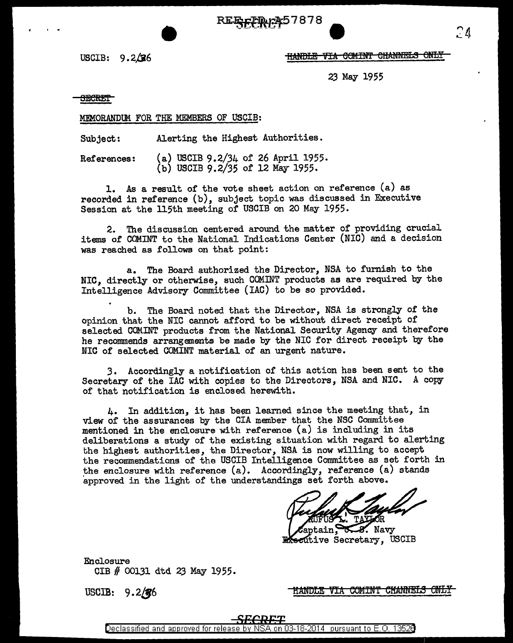REE<sub>F</sub>FDer&57878

USCIB:  $9.2/36$ 

HANDLE VIA COMINT CHANNELS ONLY

*23* May 1955

<del>SECRET</del>

MEMORANDUM FOR THE MEMBERS OF USCIB:

Subject: Alerting the Highest Authorities.

References: (a) USCIB 9.2/34 of 26 April 1955. (b) USCIB 9.2/35 of 12 May 1955.

1. As a result of the vote sheet action on reference (a) as recorded in reference (b), subject topic was discussed in Executive Session at the 115th meeting of USCIB on 20 May 1955.

2. The discussion centered around the matter of providing crucial items 0£ COMINT to the National Indications Center (NIC) and a decision was reached as follows on that point:

a. The Board authorized the Director, NSA to furnish to the NIC, directly or otherwise, such COMINT products as are required by the Intelligence Advisory Committee (IAC) to be so provided.

b. The Board noted that the Director, NSA is strongly of the opinion that the NIC cannot afford to be without direct receipt of selected COMINT products from the National Security Agency and therefore he recommends arrangements be made by the NIC for direct receipt by the NIC of selected COMINT material of an urgent nature.

*3.* Accordingly a notification of this action has been sent to the Secretary of the IAC with copies to the Directors, NSA and NIC. A copy of that notification is enclosed herewith.

4. In addition, it has been learned since the meeting that, in view of the assurances by the CIA member that the NSC Committee mentioned in the enclosure with reference (a) is including in its deliberations a study of the existing situation with regard to alerting the highest authorities, the Director, NSA is now willing to accept the recommendations of the USCIB Intelligence Committee as set forth in the enclosure with reference  $(a)$ . Accordingly, reference  $(a)$  stands approved in the light of the understandings set forth above.

<del>SECRE.</del> Declassified and approved for release by NSA on 03-18-2014 pursuant to E.O. 13526

OR.

. Navy **Executive Secretary, USCIB** 

Enclosure CIB # 00131 dtd 23 May 1955.

USCIB: 9.2/36

<u>HANDLE VIA COMINT CHANNELS ONLY</u>